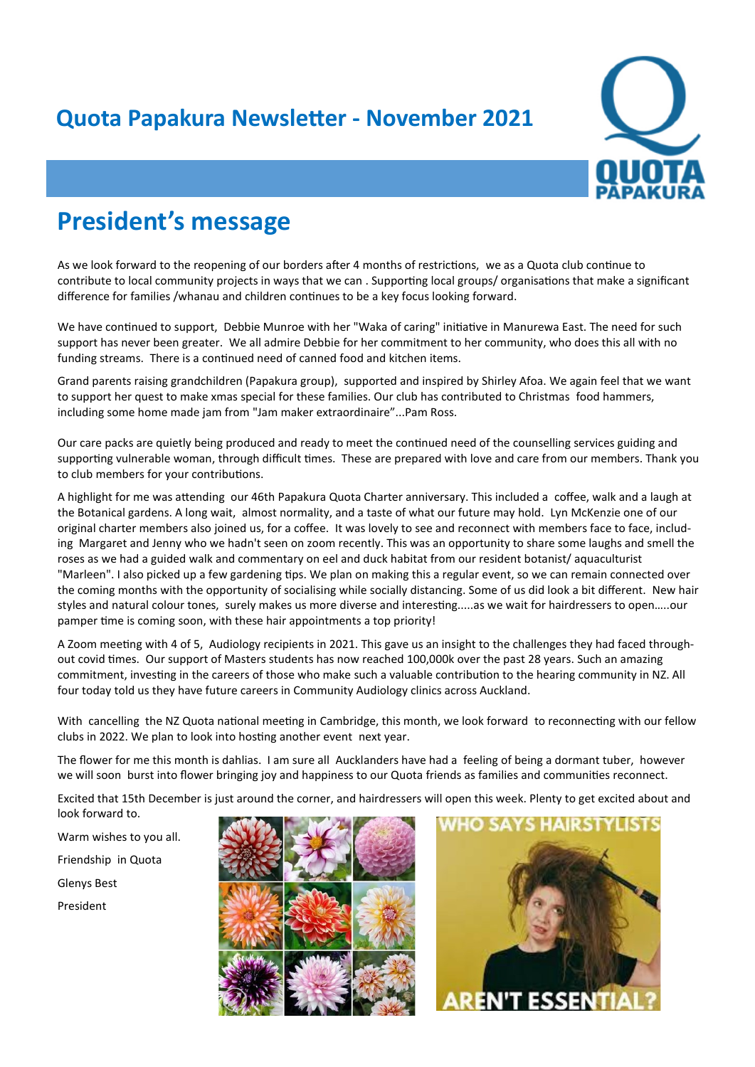## **Quota Papakura Newsletter - November 2021**



## **President's message**

As we look forward to the reopening of our borders after 4 months of restrictions, we as a Quota club continue to contribute to local community projects in ways that we can . Supporting local groups/ organisations that make a significant difference for families /whanau and children continues to be a key focus looking forward.

We have continued to support, Debbie Munroe with her "Waka of caring" initiative in Manurewa East. The need for such support has never been greater. We all admire Debbie for her commitment to her community, who does this all with no funding streams. There is a continued need of canned food and kitchen items.

Grand parents raising grandchildren (Papakura group), supported and inspired by Shirley Afoa. We again feel that we want to support her quest to make xmas special for these families. Our club has contributed to Christmas food hammers, including some home made jam from "Jam maker extraordinaire"...Pam Ross.

Our care packs are quietly being produced and ready to meet the continued need of the counselling services guiding and supporting vulnerable woman, through difficult times. These are prepared with love and care from our members. Thank you to club members for your contributions.

A highlight for me was attending our 46th Papakura Quota Charter anniversary. This included a coffee, walk and a laugh at the Botanical gardens. A long wait, almost normality, and a taste of what our future may hold. Lyn McKenzie one of our original charter members also joined us, for a coffee. It was lovely to see and reconnect with members face to face, including Margaret and Jenny who we hadn't seen on zoom recently. This was an opportunity to share some laughs and smell the roses as we had a guided walk and commentary on eel and duck habitat from our resident botanist/ aquaculturist "Marleen". I also picked up a few gardening tips. We plan on making this a regular event, so we can remain connected over the coming months with the opportunity of socialising while socially distancing. Some of us did look a bit different. New hair styles and natural colour tones, surely makes us more diverse and interesting.....as we wait for hairdressers to open…..our pamper time is coming soon, with these hair appointments a top priority!

A Zoom meeting with 4 of 5, Audiology recipients in 2021. This gave us an insight to the challenges they had faced throughout covid times. Our support of Masters students has now reached 100,000k over the past 28 years. Such an amazing commitment, investing in the careers of those who make such a valuable contribution to the hearing community in NZ. All four today told us they have future careers in Community Audiology clinics across Auckland.

With cancelling the NZ Quota national meeting in Cambridge, this month, we look forward to reconnecting with our fellow clubs in 2022. We plan to look into hosting another event next year.

The flower for me this month is dahlias. I am sure all Aucklanders have had a feeling of being a dormant tuber, however we will soon burst into flower bringing joy and happiness to our Quota friends as families and communities reconnect.

Excited that 15th December is just around the corner, and hairdressers will open this week. Plenty to get excited about and look forward to.

Warm wishes to you all.

Friendship in Quota

Glenys Best

President